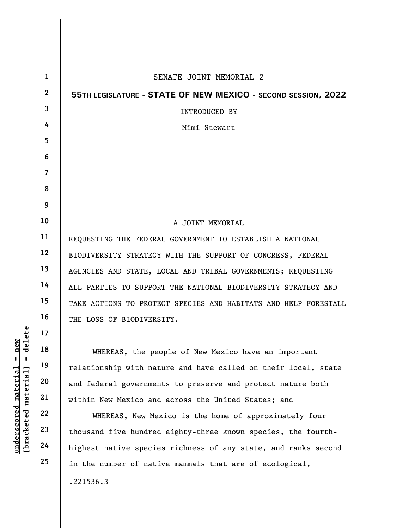|                                                                                                                          | $\mathbf{1}$   | SENATE JOINT MEMORIAL 2                                         |
|--------------------------------------------------------------------------------------------------------------------------|----------------|-----------------------------------------------------------------|
|                                                                                                                          | $\overline{2}$ | 55TH LEGISLATURE - STATE OF NEW MEXICO - SECOND SESSION, 2022   |
|                                                                                                                          | $\overline{3}$ | <b>INTRODUCED BY</b>                                            |
|                                                                                                                          | 4              | Mimi Stewart                                                    |
| delete<br>new<br>Ш<br>Ш<br>$\mathop{\mathtt{materidal}}$<br>[ <del>brack</del> ete <del>d material</del><br>$underscore$ | 5              |                                                                 |
|                                                                                                                          | 6              |                                                                 |
|                                                                                                                          | $\overline{7}$ |                                                                 |
|                                                                                                                          | 8              |                                                                 |
|                                                                                                                          | 9              |                                                                 |
|                                                                                                                          | 10             | A JOINT MEMORIAL                                                |
|                                                                                                                          | 11             | REQUESTING THE FEDERAL GOVERNMENT TO ESTABLISH A NATIONAL       |
|                                                                                                                          | 12             | BIODIVERSITY STRATEGY WITH THE SUPPORT OF CONGRESS, FEDERAL     |
|                                                                                                                          | 13             | AGENCIES AND STATE, LOCAL AND TRIBAL GOVERNMENTS; REQUESTING    |
|                                                                                                                          | 14             | ALL PARTIES TO SUPPORT THE NATIONAL BIODIVERSITY STRATEGY AND   |
|                                                                                                                          | 15             | TAKE ACTIONS TO PROTECT SPECIES AND HABITATS AND HELP FORESTALL |
|                                                                                                                          | 16             | THE LOSS OF BIODIVERSITY.                                       |
|                                                                                                                          | 17             |                                                                 |
|                                                                                                                          | 18             | WHEREAS, the people of New Mexico have an important             |
|                                                                                                                          | 19             | relationship with nature and have called on their local, state  |
|                                                                                                                          | 20             | and federal governments to preserve and protect nature both     |
|                                                                                                                          | 21             | within New Mexico and across the United States; and             |
|                                                                                                                          | 22             | WHEREAS, New Mexico is the home of approximately four           |
|                                                                                                                          | 23             | thousand five hundred eighty-three known species, the fourth-   |
|                                                                                                                          | 24             | highest native species richness of any state, and ranks second  |
|                                                                                                                          | 25             | in the number of native mammals that are of ecological,         |
|                                                                                                                          |                | .221536.3                                                       |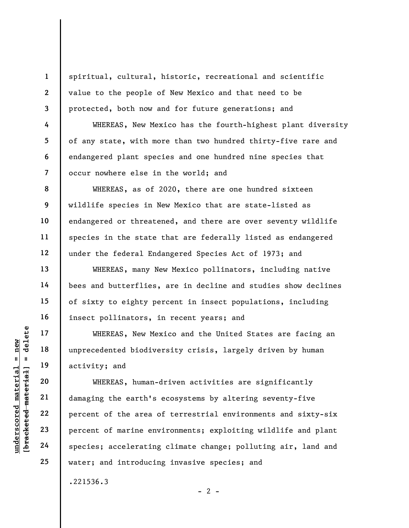spiritual, cultural, historic, recreational and scientific value to the people of New Mexico and that need to be protected, both now and for future generations; and

WHEREAS, New Mexico has the fourth-highest plant diversity of any state, with more than two hundred thirty-five rare and endangered plant species and one hundred nine species that occur nowhere else in the world; and

WHEREAS, as of 2020, there are one hundred sixteen wildlife species in New Mexico that are state-listed as endangered or threatened, and there are over seventy wildlife species in the state that are federally listed as endangered under the federal Endangered Species Act of 1973; and

WHEREAS, many New Mexico pollinators, including native bees and butterflies, are in decline and studies show declines of sixty to eighty percent in insect populations, including insect pollinators, in recent years; and

WHEREAS, New Mexico and the United States are facing an unprecedented biodiversity crisis, largely driven by human activity; and

UNEREAS, New Mexet of the area corrected activity; and activity; and activity; and activity; and wHEREAS, human-<br>
wHEREAS, human-<br>
21 damaging the earth's<br>
22 percent of the area corrections<br>
24 species; accelerating WHEREAS, human-driven activities are significantly damaging the earth's ecosystems by altering seventy-five percent of the area of terrestrial environments and sixty-six percent of marine environments; exploiting wildlife and plant species; accelerating climate change; polluting air, land and water; and introducing invasive species; and

 $- 2 -$ 

.221536.3

1

2

3

4

5

6

7

8

9

10

11

12

13

14

15

16

17

18

19

20

21

22

23

24

25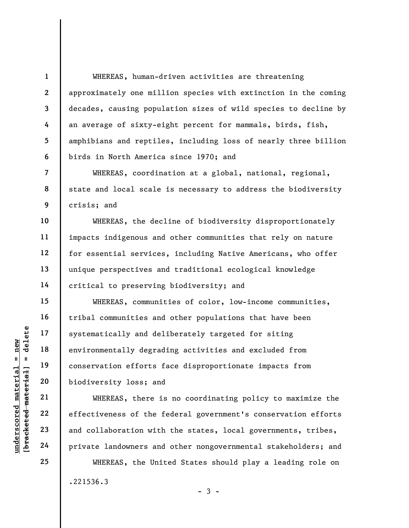WHEREAS, human-driven activities are threatening approximately one million species with extinction in the coming decades, causing population sizes of wild species to decline by an average of sixty-eight percent for mammals, birds, fish, amphibians and reptiles, including loss of nearly three billion birds in North America since 1970; and

WHEREAS, coordination at a global, national, regional, state and local scale is necessary to address the biodiversity crisis; and

WHEREAS, the decline of biodiversity disproportionately impacts indigenous and other communities that rely on nature for essential services, including Native Americans, who offer unique perspectives and traditional ecological knowledge critical to preserving biodiversity; and

underscored material = new [bracketed material] = delete WHEREAS, communities of color, low-income communities, tribal communities and other populations that have been systematically and deliberately targeted for siting environmentally degrading activities and excluded from conservation efforts face disproportionate impacts from biodiversity loss; and

WHEREAS, there is no coordinating policy to maximize the effectiveness of the federal government's conservation efforts and collaboration with the states, local governments, tribes, private landowners and other nongovernmental stakeholders; and

WHEREAS, the United States should play a leading role on .221536.3

1

2

3

4

5

6

7

8

9

10

11

12

13

14

15

16

17

18

19

20

21

22

23

24

25

 $-3 -$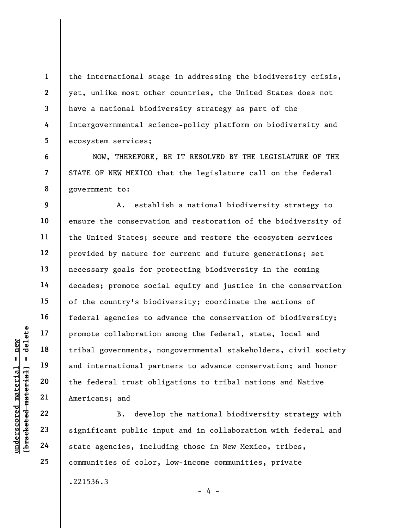the international stage in addressing the biodiversity crisis, yet, unlike most other countries, the United States does not have a national biodiversity strategy as part of the intergovernmental science-policy platform on biodiversity and ecosystem services;

NOW, THEREFORE, BE IT RESOLVED BY THE LEGISLATURE OF THE STATE OF NEW MEXICO that the legislature call on the federal government to:

understand<br>
understand material species and<br>
understand material parameters, new continues and<br>
understand<br>
the federal trust oblightness<br>
21<br>
understand<br>
22<br>
understand<br>
24<br>
significant public in<br>
state agencies, include<br> A. establish a national biodiversity strategy to ensure the conservation and restoration of the biodiversity of the United States; secure and restore the ecosystem services provided by nature for current and future generations; set necessary goals for protecting biodiversity in the coming decades; promote social equity and justice in the conservation of the country's biodiversity; coordinate the actions of federal agencies to advance the conservation of biodiversity; promote collaboration among the federal, state, local and tribal governments, nongovernmental stakeholders, civil society and international partners to advance conservation; and honor the federal trust obligations to tribal nations and Native Americans; and

B. develop the national biodiversity strategy with significant public input and in collaboration with federal and state agencies, including those in New Mexico, tribes, communities of color, low-income communities, private

- 4 -

.221536.3

1

2

3

4

5

6

7

8

9

10

11

12

13

14

15

16

17

18

19

20

21

22

23

24

25